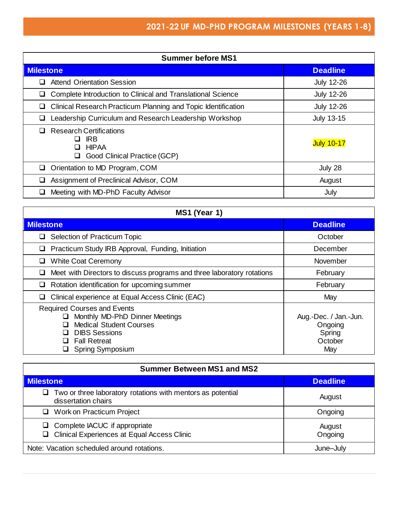| <b>Summer before MS1</b>                                                                                        |                   |
|-----------------------------------------------------------------------------------------------------------------|-------------------|
| <b>Milestone</b>                                                                                                | <b>Deadline</b>   |
| <b>Attend Orientation Session</b>                                                                               | <b>July 12-26</b> |
| Complete Introduction to Clinical and Translational Science                                                     | <b>July 12-26</b> |
| Clinical Research Practicum Planning and Topic Identification                                                   | <b>July 12-26</b> |
| Leadership Curriculum and Research Leadership Workshop                                                          | <b>July 13-15</b> |
| <b>Research Certifications</b><br><b>IRB</b><br>l 1<br><b>HIPAA</b><br>l 1<br>Good Clinical Practice (GCP)<br>⊔ | <b>July 10-17</b> |
| Orientation to MD Program, COM<br>ப                                                                             | July 28           |
| Assignment of Preclinical Advisor, COM                                                                          | August            |
| Meeting with MD-PhD Faculty Advisor                                                                             | July              |

| MS1 (Year 1)                                                                                                                                                                                      |                                                              |
|---------------------------------------------------------------------------------------------------------------------------------------------------------------------------------------------------|--------------------------------------------------------------|
| <b>Milestone</b>                                                                                                                                                                                  | <b>Deadline</b>                                              |
| Selection of Practicum Topic                                                                                                                                                                      | October                                                      |
| Practicum Study IRB Approval, Funding, Initiation                                                                                                                                                 | December                                                     |
| <b>White Coat Ceremony</b>                                                                                                                                                                        | November                                                     |
| Meet with Directors to discuss programs and three laboratory rotations                                                                                                                            | February                                                     |
| Rotation identification for upcoming summer                                                                                                                                                       | February                                                     |
| Clinical experience at Equal Access Clinic (EAC)                                                                                                                                                  | May                                                          |
| <b>Required Courses and Events</b><br>Monthly MD-PhD Dinner Meetings<br>⊔<br><b>Medical Student Courses</b><br><b>DIBS Sessions</b><br>$\sqcup$<br><b>Fall Retreat</b><br><b>Spring Symposium</b> | Aug.-Dec. / Jan.-Jun.<br>Ongoing<br>Spring<br>October<br>May |

| <b>Summer Between MS1 and MS2</b>                                                              |                   |
|------------------------------------------------------------------------------------------------|-------------------|
| <b>Milestone</b>                                                                               | <b>Deadline</b>   |
| $\Box$ Two or three laboratory rotations with mentors as potential<br>dissertation chairs      | August            |
| □ Work on Practicum Project                                                                    | Ongoing           |
| Complete IACUC if appropriate<br>u.<br><b>Clinical Experiences at Equal Access Clinic</b><br>ப | August<br>Ongoing |
| Note: Vacation scheduled around rotations.                                                     | June-July         |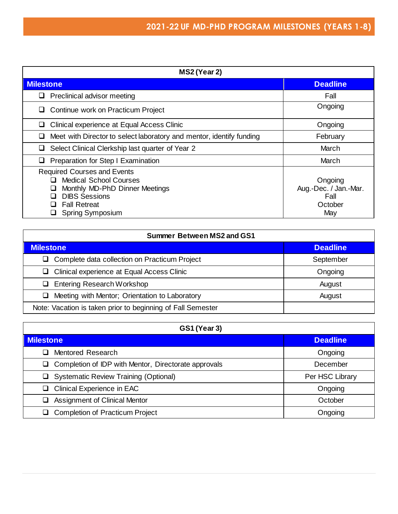| MS2 (Year 2)                                                                                                                                                                         |                                                            |
|--------------------------------------------------------------------------------------------------------------------------------------------------------------------------------------|------------------------------------------------------------|
| <b>Milestone</b>                                                                                                                                                                     | <b>Deadline</b>                                            |
| Preclinical advisor meeting                                                                                                                                                          | Fall                                                       |
| Continue work on Practicum Project                                                                                                                                                   | Ongoing                                                    |
| Clinical experience at Equal Access Clinic                                                                                                                                           | Ongoing                                                    |
| Meet with Director to select laboratory and mentor, identify funding                                                                                                                 | February                                                   |
| Select Clinical Clerkship last quarter of Year 2                                                                                                                                     | March                                                      |
| Preparation for Step I Examination                                                                                                                                                   | March                                                      |
| <b>Required Courses and Events</b><br><b>Medical School Courses</b><br>H<br>Monthly MD-PhD Dinner Meetings<br><b>DIBS Sessions</b><br><b>Fall Retreat</b><br><b>Spring Symposium</b> | Ongoing<br>Aug.-Dec. / Jan.-Mar.<br>Fall<br>October<br>May |

| <b>Summer Between MS2 and GS1</b>                           |                 |
|-------------------------------------------------------------|-----------------|
| <b>Milestone</b>                                            | <b>Deadline</b> |
| $\Box$ Complete data collection on Practicum Project        | September       |
| $\Box$ Clinical experience at Equal Access Clinic           | Ongoing         |
| <b>Entering Research Workshop</b><br>⊔.                     | August          |
| Meeting with Mentor; Orientation to Laboratory              | August          |
| Note: Vacation is taken prior to beginning of Fall Semester |                 |

| <b>GS1 (Year 3)</b>                                       |                 |
|-----------------------------------------------------------|-----------------|
| <b>Milestone</b>                                          | <b>Deadline</b> |
| Mentored Research                                         | Ongoing         |
| Completion of IDP with Mentor, Directorate approvals<br>⊔ | December        |
| <b>Systematic Review Training (Optional)</b>              | Per HSC Library |
| Clinical Experience in EAC                                | Ongoing         |
| <b>Assignment of Clinical Mentor</b>                      | October         |
| <b>Completion of Practicum Project</b><br>ப               | Ongoing         |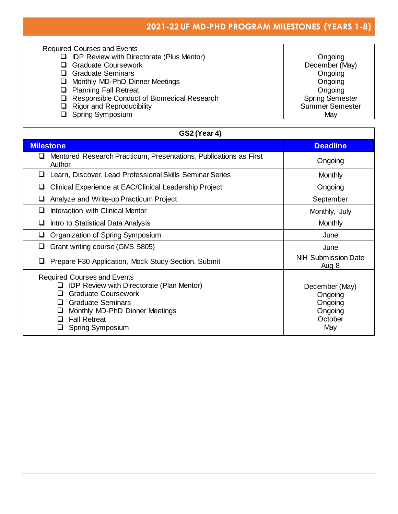## **2021-22 UF MD-PHD PROGRAM MILESTONES (YEARS 1-8)**

| <b>Required Courses and Events</b>                    |                        |
|-------------------------------------------------------|------------------------|
| <b>IDP Review with Directorate (Plus Mentor)</b><br>❏ | Ongoing                |
| <b>Graduate Coursework</b><br>□                       | December (May)         |
| <b>Graduate Seminars</b><br>ப                         | Ongoing                |
| Monthly MD-PhD Dinner Meetings<br>❏                   | Ongoing                |
| <b>Planning Fall Retreat</b><br>❏                     | Ongoing                |
| Responsible Conduct of Biomedical Research<br>ப       | <b>Spring Semester</b> |
| <b>Rigor and Reproducibility</b><br>❏                 | <b>Summer Semester</b> |
| <b>Spring Symposium</b><br>◻                          | May                    |

| <b>GS2 (Year 4)</b>                                                                                                                                                                                                                                               |                                                                   |
|-------------------------------------------------------------------------------------------------------------------------------------------------------------------------------------------------------------------------------------------------------------------|-------------------------------------------------------------------|
| <b>Milestone</b>                                                                                                                                                                                                                                                  | <b>Deadline</b>                                                   |
| Mentored Research Practicum, Presentations, Publications as First<br>⊔<br>Author                                                                                                                                                                                  | Ongoing                                                           |
| Learn, Discover, Lead Professional Skills Seminar Series<br>ப                                                                                                                                                                                                     | <b>Monthly</b>                                                    |
| Clinical Experience at EAC/Clinical Leadership Project<br>⊔                                                                                                                                                                                                       | Ongoing                                                           |
| Analyze and Write-up Practicum Project<br>⊔                                                                                                                                                                                                                       | September                                                         |
| Interaction with Clinical Mentor<br>ப                                                                                                                                                                                                                             | Monthly, July                                                     |
| Intro to Statistical Data Analysis<br>⊔                                                                                                                                                                                                                           | Monthly                                                           |
| Organization of Spring Symposium<br>⊔                                                                                                                                                                                                                             | June                                                              |
| Grant writing course (GMS 5805)<br>⊔                                                                                                                                                                                                                              | June                                                              |
| Prepare F30 Application, Mock Study Section, Submit<br>⊔                                                                                                                                                                                                          | <b>NIH Submission Date</b><br>Aug 8                               |
| <b>Required Courses and Events</b><br><b>IDP Review with Directorate (Plan Mentor)</b><br><b>Graduate Coursework</b><br>ப<br><b>Graduate Seminars</b><br>$\Box$<br>Monthly MD-PhD Dinner Meetings<br>⊔<br><b>Fall Retreat</b><br>$\mathbf{L}$<br>Spring Symposium | December (May)<br>Ongoing<br>Ongoing<br>Ongoing<br>October<br>May |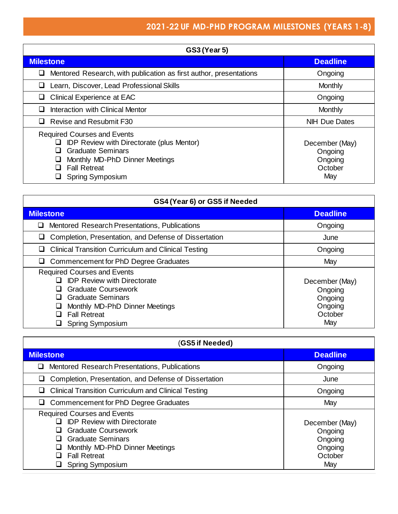## **2021-22 UF MD-PHD PROGRAM MILESTONES (YEARS 1-8)**

| <b>GS3 (Year 5)</b>                                                                                                                                                                                                          |                                                        |
|------------------------------------------------------------------------------------------------------------------------------------------------------------------------------------------------------------------------------|--------------------------------------------------------|
| <b>Milestone</b>                                                                                                                                                                                                             | <b>Deadline</b>                                        |
| Mentored Research, with publication as first author, presentations                                                                                                                                                           | Ongoing                                                |
| Learn, Discover, Lead Professional Skills                                                                                                                                                                                    | Monthly                                                |
| <b>Clinical Experience at EAC</b>                                                                                                                                                                                            | Ongoing                                                |
| Interaction with Clinical Mentor<br>$\mathbf{L}$                                                                                                                                                                             | Monthly                                                |
| Revise and Resubmit F30                                                                                                                                                                                                      | <b>NIH Due Dates</b>                                   |
| <b>Required Courses and Events</b><br><b>IDP Review with Directorate (plus Mentor)</b><br>ப<br><b>Graduate Seminars</b><br>⊔<br>Monthly MD-PhD Dinner Meetings<br>⊔<br><b>Fall Retreat</b><br>l 1<br><b>Spring Symposium</b> | December (May)<br>Ongoing<br>Ongoing<br>October<br>May |

| GS4 (Year 6) or GS5 if Needed                                                                                                                                                                                                               |                                                                   |
|---------------------------------------------------------------------------------------------------------------------------------------------------------------------------------------------------------------------------------------------|-------------------------------------------------------------------|
| <b>Milestone</b>                                                                                                                                                                                                                            | <b>Deadline</b>                                                   |
| Mentored Research Presentations, Publications                                                                                                                                                                                               | Ongoing                                                           |
| Completion, Presentation, and Defense of Dissertation                                                                                                                                                                                       | June                                                              |
| <b>Clinical Transition Curriculum and Clinical Testing</b>                                                                                                                                                                                  | Ongoing                                                           |
| Commencement for PhD Degree Graduates                                                                                                                                                                                                       | May                                                               |
| <b>Required Courses and Events</b><br><b>IDP Review with Directorate</b><br>$\mathsf{L}$<br><b>Graduate Coursework</b><br><b>Graduate Seminars</b><br>ப<br>Monthly MD-PhD Dinner Meetings<br><b>Fall Retreat</b><br><b>Spring Symposium</b> | December (May)<br>Ongoing<br>Ongoing<br>Ongoing<br>October<br>May |

| (GS5 if Needed)                                                                                                                                                                                                             |                                                                   |
|-----------------------------------------------------------------------------------------------------------------------------------------------------------------------------------------------------------------------------|-------------------------------------------------------------------|
| <b>Milestone</b>                                                                                                                                                                                                            | <b>Deadline</b>                                                   |
| Mentored Research Presentations, Publications                                                                                                                                                                               | Ongoing                                                           |
| Completion, Presentation, and Defense of Dissertation                                                                                                                                                                       | June                                                              |
| <b>Clinical Transition Curriculum and Clinical Testing</b>                                                                                                                                                                  | Ongoing                                                           |
| Commencement for PhD Degree Graduates                                                                                                                                                                                       | May                                                               |
| <b>Required Courses and Events</b><br><b>IDP Review with Directorate</b><br><b>Graduate Coursework</b><br><b>Graduate Seminars</b><br>ш<br>Monthly MD-PhD Dinner Meetings<br><b>Fall Retreat</b><br><b>Spring Symposium</b> | December (May)<br>Ongoing<br>Ongoing<br>Ongoing<br>October<br>May |